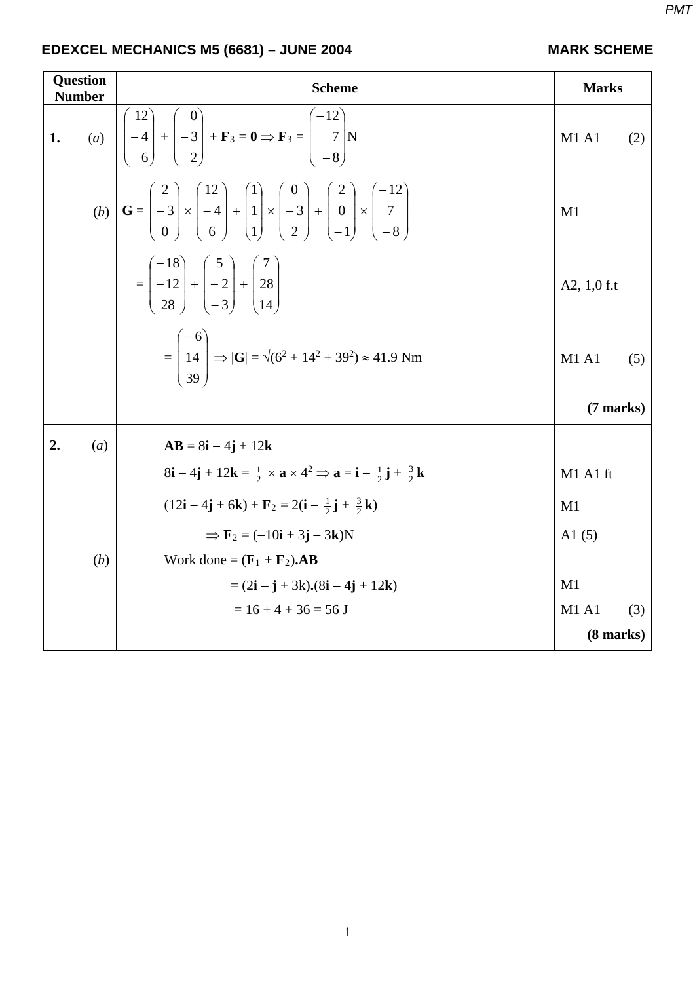1

|                 | EDEXCEL MECHANICS M5 (6681) – JUNE 2004 |  |
|-----------------|-----------------------------------------|--|
| $\Box$ Ougstian |                                         |  |

| <b>Question</b><br><b>Number</b> |     | <b>Scheme</b>                                                                                                                                                                                                                                                                                                   | <b>Marks</b>        |     |
|----------------------------------|-----|-----------------------------------------------------------------------------------------------------------------------------------------------------------------------------------------------------------------------------------------------------------------------------------------------------------------|---------------------|-----|
| $\mathbf{1}$ .                   |     | (a) $\begin{vmatrix} 12 \\ -4 \\ 6 \end{vmatrix} + \begin{vmatrix} 0 \\ -3 \\ 2 \end{vmatrix} + \mathbf{F}_3 = \mathbf{0} \Rightarrow \mathbf{F}_3 = \begin{pmatrix} -12 \\ 7 \\ -8 \end{pmatrix} N$                                                                                                            | M1 A1               | (2) |
|                                  |     | (b) $\mathbf{G} = \begin{pmatrix} 2 \\ -3 \\ 0 \end{pmatrix} \times \begin{pmatrix} 12 \\ -4 \\ 6 \end{pmatrix} + \begin{pmatrix} 1 \\ 1 \\ 1 \end{pmatrix} \times \begin{pmatrix} 0 \\ -3 \\ 2 \end{pmatrix} + \begin{pmatrix} 2 \\ 0 \\ -1 \end{pmatrix} \times \begin{pmatrix} -12 \\ 7 \\ -8 \end{pmatrix}$ | M1                  |     |
|                                  |     | $=\left \begin{array}{c} -18 \\ -12 \\ -8 \end{array}\right +\left \begin{array}{c} 3 \\ -2 \\ 3 \end{array}\right +\left \begin{array}{c} 28 \\ 28 \\ 14 \end{array}\right $                                                                                                                                   | A2, $1,0$ f.t       |     |
|                                  |     | $=\begin{pmatrix} -6 \\ 14 \\ 39 \end{pmatrix}$ $\Rightarrow  G  = \sqrt{(6^2 + 14^2 + 39^2)} \approx 41.9$ Nm                                                                                                                                                                                                  | M1 A1               | (5) |
|                                  |     |                                                                                                                                                                                                                                                                                                                 | $(7 \text{ marks})$ |     |
| 2.                               | (a) | $AB = 8i - 4j + 12k$                                                                                                                                                                                                                                                                                            |                     |     |
|                                  |     | $8i-4j+12k=\frac{1}{2}\times a\times 4^2 \Rightarrow a=i-\frac{1}{2}j+\frac{3}{2}k$                                                                                                                                                                                                                             | M1 A1 ft            |     |
|                                  |     | $(12i - 4j + 6k) + F_2 = 2(i - \frac{1}{2}j + \frac{3}{2}k)$                                                                                                                                                                                                                                                    | M1                  |     |
|                                  |     | $\Rightarrow$ F <sub>2</sub> = (-10 <b>i</b> + 3 <b>j</b> – 3 <b>k</b> )N                                                                                                                                                                                                                                       | A1 $(5)$            |     |
|                                  | (b) | Work done = $(\mathbf{F}_1 + \mathbf{F}_2)$ .AB                                                                                                                                                                                                                                                                 |                     |     |
|                                  |     | $= (2i - j + 3k) \cdot (8i - 4j + 12k)$                                                                                                                                                                                                                                                                         | M1                  |     |
|                                  |     | $= 16 + 4 + 36 = 56$ J                                                                                                                                                                                                                                                                                          | <b>M1 A1</b>        | (3) |
|                                  |     |                                                                                                                                                                                                                                                                                                                 | $(8 \text{ marks})$ |     |

### **MARK SCHEME**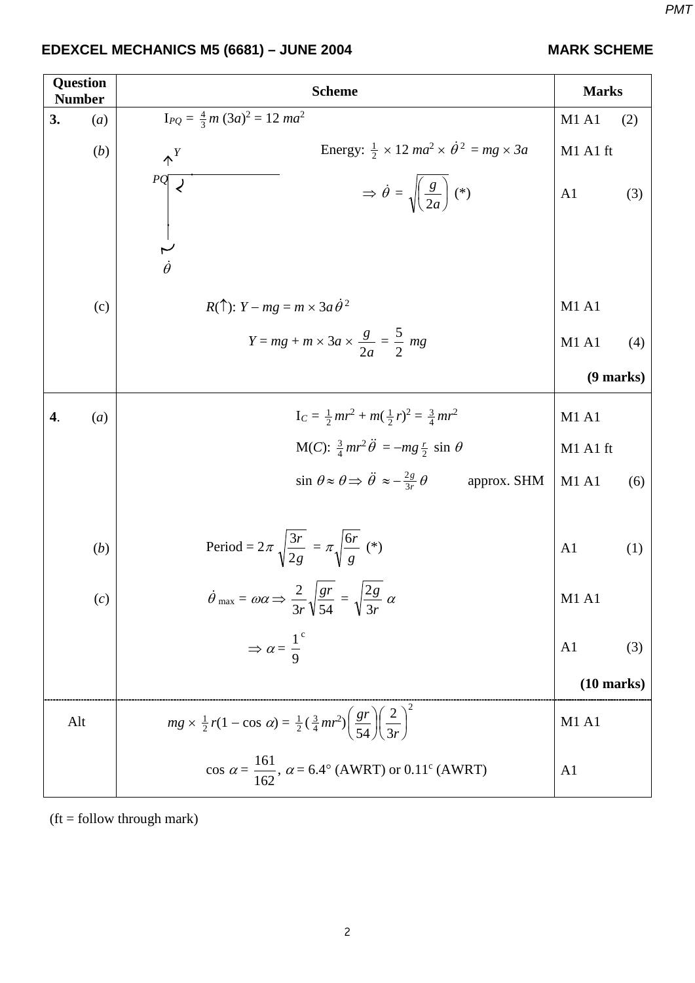### *PMT*

# **EDEXCEL MECHANICS M5 (6681) – JUNE 2004 MARK SCHEME**

| <b>Question</b><br><b>Number</b> | <b>Scheme</b>                                                                                                                 | <b>Marks</b>                  |     |
|----------------------------------|-------------------------------------------------------------------------------------------------------------------------------|-------------------------------|-----|
| 3.<br>(a)                        | $I_{PQ} = \frac{4}{3}m(3a)^2 = 12 ma^2$                                                                                       | M1 A1                         | (2) |
| (b)                              | Energy: $\frac{1}{2} \times 12$ ma <sup>2</sup> $\times \dot{\theta}^2 = mg \times 3a$<br>$\uparrow^{Y}$                      | M1 A1 ft                      |     |
|                                  | PQ<br>$\Rightarrow \dot{\theta} = \sqrt{\left(\frac{g}{2a}\right)^2}$ (*)                                                     | A1                            | (3) |
|                                  | $\begin{array}{c} 1 \\ \nu \\ \dot{\theta} \end{array}$                                                                       |                               |     |
| (c)                              | $R(\uparrow)$ : $Y - mg = m \times 3a \dot{\theta}^2$                                                                         | M1 A1                         |     |
|                                  | $Y = mg + m \times 3a \times \frac{g}{2a} = \frac{5}{2} mg$                                                                   | M1 A1                         | (4) |
|                                  |                                                                                                                               | $(9$ marks)                   |     |
| (a)<br>4.                        | $I_C = \frac{1}{2}mr^2 + m(\frac{1}{2}r)^2 = \frac{3}{4}mr^2$                                                                 | M1 A1                         |     |
|                                  | M(C): $\frac{3}{4}mr^2\ddot{\theta} = -mg\frac{r}{2} \sin \theta$                                                             | M1 A1 ft                      |     |
|                                  | $\sin \theta \approx \theta \Rightarrow \ddot{\theta} \approx -\frac{2g}{3r} \theta$<br>approx. SHM                           | M1 A1                         | (6) |
| (b)                              | Period = $2\pi \sqrt{\frac{3r}{2g}} = \pi \sqrt{\frac{6r}{g}}$ (*)                                                            | A <sub>1</sub>                | (1) |
| (c)                              | $\dot{\theta}$ max = $\omega \alpha \Rightarrow \frac{2}{3r} \sqrt{\frac{gr}{54}} = \sqrt{\frac{2g}{3r}} \alpha$              | M1 A1                         |     |
|                                  | $\Rightarrow \alpha = \frac{1}{9}^c$                                                                                          | A <sub>1</sub>                | (3) |
|                                  |                                                                                                                               | $(10 \text{ marks})$          |     |
| Alt                              | $mg \times \frac{1}{2}r(1 - \cos \alpha) = \frac{1}{2}(\frac{3}{4}mr^2)\left(\frac{gr}{54}\right)\left(\frac{2}{3r}\right)^2$ | M <sub>1</sub> A <sub>1</sub> |     |
|                                  | cos $\alpha = \frac{161}{162}$ , $\alpha = 6.4^{\circ}$ (AWRT) or 0.11 <sup>c</sup> (AWRT)                                    | A <sub>1</sub>                |     |

 $(t =$  follow through mark)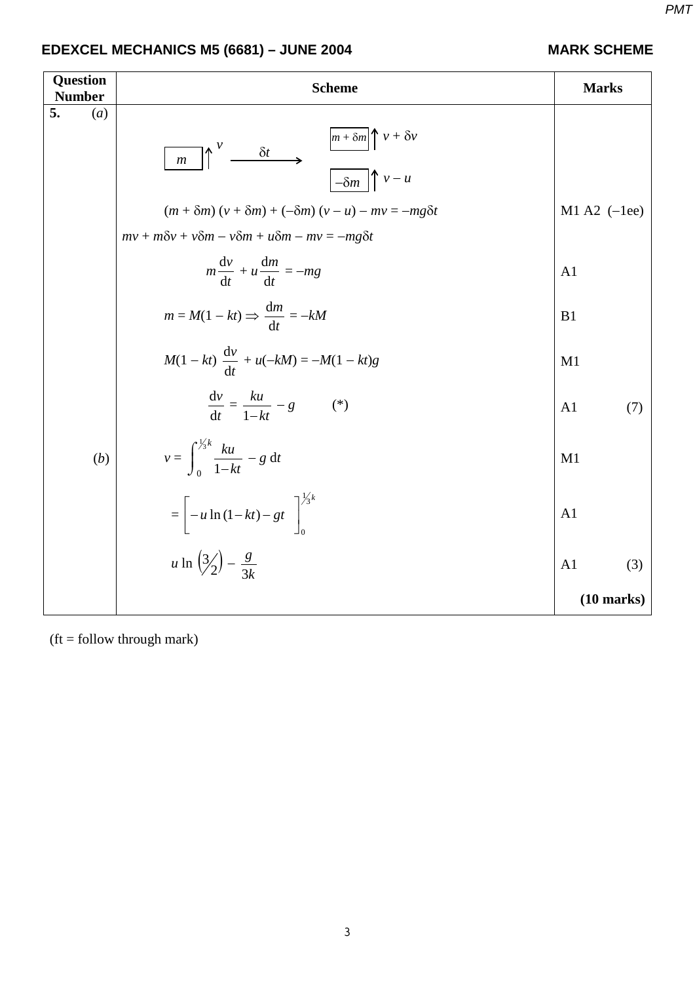# **EDEXCEL MECHANICS M5 (6681) – JUNE 2004 MARK SCHEME**

| <b>Question</b><br><b>Number</b> | <b>Scheme</b>                                                                                                                                                                                                                                                                       | <b>Marks</b>          |
|----------------------------------|-------------------------------------------------------------------------------------------------------------------------------------------------------------------------------------------------------------------------------------------------------------------------------------|-----------------------|
| 5.<br>(a)                        | $\left[\frac{m + \delta m}{m + \delta w}\right] v + \delta v$<br>$\frac{v}{t}$ $\frac{\delta t}{\delta t}$<br>$\boldsymbol{m}$<br>$(m + \delta m)(v + \delta m) + (-\delta m)(v - u) - mv = -mg\delta t$<br>$mv + m\delta v + v\delta m - v\delta m + u\delta m - mv = -mg\delta t$ | M1 A2 $(-1ee)$        |
|                                  | $m\frac{dv}{dt} + u\frac{dm}{dt} = -mg$                                                                                                                                                                                                                                             | A <sub>1</sub>        |
|                                  | $m = M(1 - kt) \Rightarrow \frac{dm}{dt} = -kM$                                                                                                                                                                                                                                     | B1                    |
|                                  | $M(1 - kt) \frac{dv}{dt} + u(-kM) = -M(1 - kt)g$                                                                                                                                                                                                                                    | M1                    |
|                                  | $\frac{\mathrm{d}v}{\mathrm{d}t} = \frac{ku}{1 - kt} - g$<br>$(*)$                                                                                                                                                                                                                  | A <sub>1</sub><br>(7) |
| (b)                              | $v = \int_{0}^{\frac{1}{3}k} \frac{ku}{1-kt} - g dt$                                                                                                                                                                                                                                | M1                    |
|                                  | $=\left[-u \ln{(1-kt)}-gt\right]^{1/3k}$                                                                                                                                                                                                                                            | A <sub>1</sub>        |
|                                  | u ln $\left(\frac{3}{2}\right) - \frac{g}{3k}$                                                                                                                                                                                                                                      | A <sub>1</sub><br>(3) |
|                                  |                                                                                                                                                                                                                                                                                     | $(10 \text{ marks})$  |

 $(t =$  follow through mark)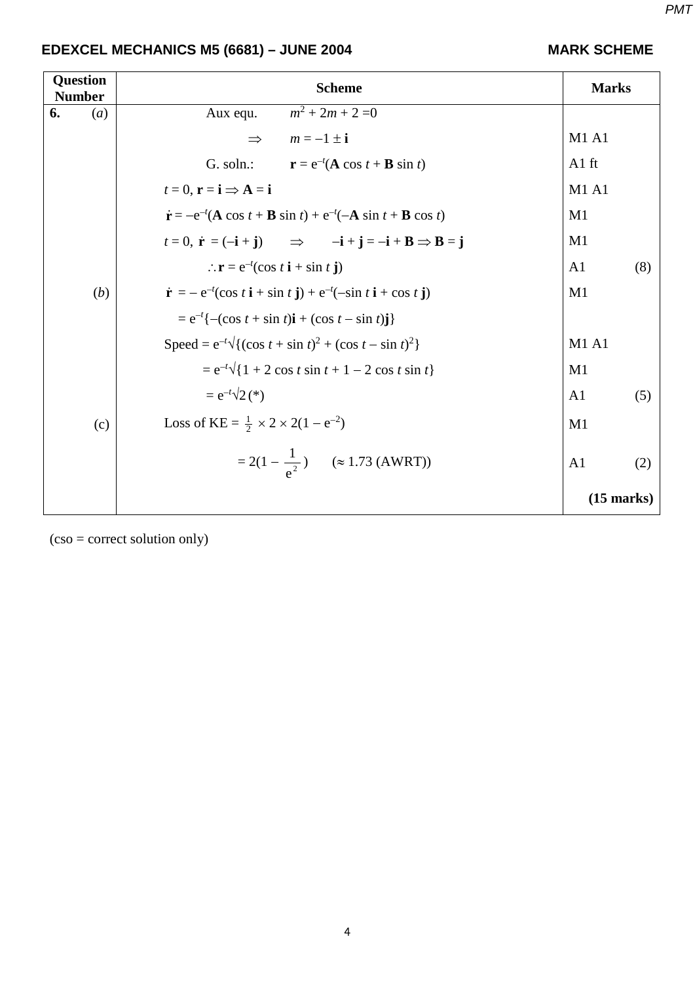# **EDEXCEL MECHANICS M5 (6681) – JUNE 2004 MARK SCHEME**

| <b>Question</b><br><b>Number</b> | <b>Scheme</b>                                                                                                                                               | <b>Marks</b>          |  |
|----------------------------------|-------------------------------------------------------------------------------------------------------------------------------------------------------------|-----------------------|--|
| 6.<br>(a)                        | $m^2 + 2m + 2 = 0$<br>Aux equ.                                                                                                                              |                       |  |
|                                  | $m = -1 \pm i$<br>$\Rightarrow$                                                                                                                             | M1 A1                 |  |
|                                  | G. soln.:<br>$\mathbf{r} = e^{-t}(\mathbf{A} \cos t + \mathbf{B} \sin t)$                                                                                   | $A1$ ft               |  |
|                                  | $t=0$ , $\mathbf{r}=\mathbf{i} \Rightarrow \mathbf{A}=\mathbf{i}$                                                                                           | <b>M1 A1</b>          |  |
|                                  | $\dot{\mathbf{r}} = -e^{-t}(\mathbf{A}\cos t + \mathbf{B}\sin t) + e^{-t}(-\mathbf{A}\sin t + \mathbf{B}\cos t)$                                            | M1                    |  |
|                                  | $t = 0$ , $\dot{\mathbf{r}} = (-\mathbf{i} + \mathbf{j})$ $\implies$ $-\mathbf{i} + \mathbf{j} = -\mathbf{i} + \mathbf{B} \implies \mathbf{B} = \mathbf{j}$ | M1                    |  |
|                                  | $\therefore$ <b>r</b> = $e^{-t}$ (cos <i>t</i> <b>i</b> + sin <i>t</i> <b>j</b> )                                                                           | A <sub>1</sub><br>(8) |  |
| (b)                              | $\dot{\mathbf{r}} = -e^{-t}(\cos t \, \mathbf{i} + \sin t \, \mathbf{j}) + e^{-t}(-\sin t \, \mathbf{i} + \cos t \, \mathbf{j})$                            | M1                    |  |
|                                  | $= e^{-t} \{ -(\cos t + \sin t)\mathbf{i} + (\cos t - \sin t)\mathbf{j} \}$                                                                                 |                       |  |
|                                  | Speed = $e^{-t}\sqrt{(cos t + sin t)^2 + (cos t - sin t)^2}$                                                                                                | M1A1                  |  |
|                                  | $= e^{-t}\sqrt{1 + 2 \cos t \sin t + 1 - 2 \cos t \sin t}$                                                                                                  | M1                    |  |
|                                  | $= e^{-t} \sqrt{2}$ (*)                                                                                                                                     | A <sub>1</sub><br>(5) |  |
| (c)                              | Loss of KE = $\frac{1}{2} \times 2 \times 2(1 - e^{-2})$                                                                                                    | M1                    |  |
|                                  | $= 2(1 - \frac{1}{\sigma^2})$ ( $\approx 1.73$ (AWRT))                                                                                                      | A <sub>1</sub><br>(2) |  |
|                                  |                                                                                                                                                             | $(15$ marks)          |  |

(cso = correct solution only)